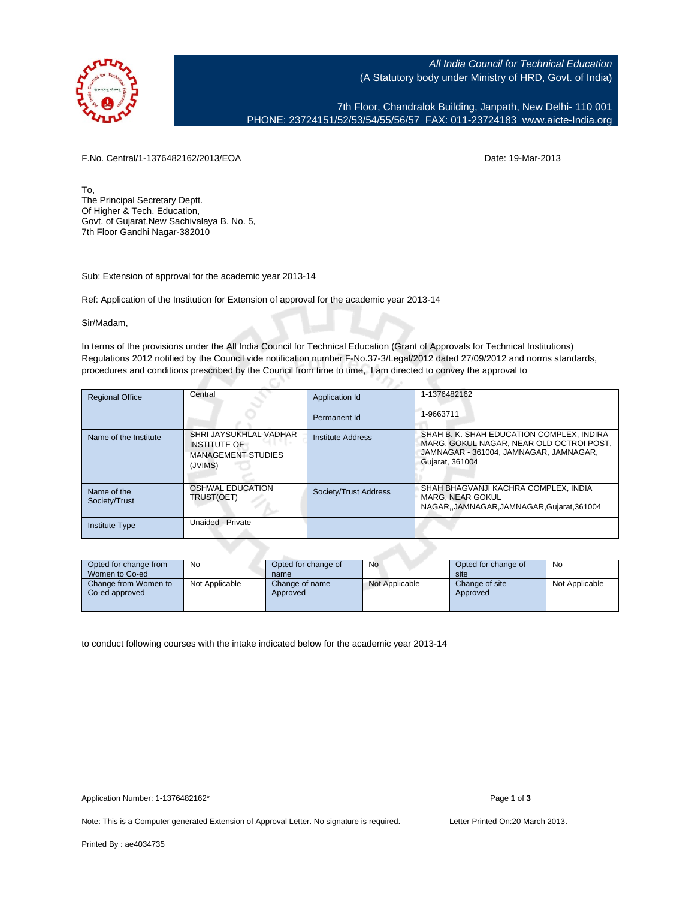

All India Council for Technical Education (A Statutory body under Ministry of HRD, Govt. of India)

7th Floor, Chandralok Building, Janpath, New Delhi- 110 001 PHONE: 23724151/52/53/54/55/56/57 FAX: 011-23724183 [www.aicte-India.org](http://www.aicte-India.org)

F.No. Central/1-1376482162/2013/EOA Date: 19-Mar-2013

To, The Principal Secretary Deptt. Of Higher & Tech. Education, Govt. of Gujarat,New Sachivalaya B. No. 5, 7th Floor Gandhi Nagar-382010

Sub: Extension of approval for the academic year 2013-14

Ref: Application of the Institution for Extension of approval for the academic year 2013-14

с.

Sir/Madam,

In terms of the provisions under the All India Council for Technical Education (Grant of Approvals for Technical Institutions) Regulations 2012 notified by the Council vide notification number F-No.37-3/Legal/2012 dated 27/09/2012 and norms standards, procedures and conditions prescribed by the Council from time to time, I am directed to convey the approval to

| <b>Regional Office</b>       | Central                                                                               | Application Id        | 1-1376482162                                                                                                                                       |
|------------------------------|---------------------------------------------------------------------------------------|-----------------------|----------------------------------------------------------------------------------------------------------------------------------------------------|
|                              |                                                                                       | Permanent Id          | 1-9663711                                                                                                                                          |
| Name of the Institute        | SHRI JAYSUKHLAL VADHAR<br><b>INSTITUTE OF</b><br><b>MANAGEMENT STUDIES</b><br>(JVIMS) | Institute Address     | SHAH B. K. SHAH EDUCATION COMPLEX, INDIRA<br>MARG, GOKUL NAGAR, NEAR OLD OCTROI POST.<br>JAMNAGAR - 361004. JAMNAGAR, JAMNAGAR.<br>Gujarat, 361004 |
| Name of the<br>Society/Trust | <b>OSHWAL EDUCATION</b><br>TRUST(OET)                                                 | Society/Trust Address | SHAH BHAGVANJI KACHRA COMPLEX. INDIA<br>MARG, NEAR GOKUL<br>NAGAR, JAMNAGAR, JAMNAGAR, Gujarat, 361004                                             |
| <b>Institute Type</b>        | Unaided - Private                                                                     |                       |                                                                                                                                                    |

| Opted for change from<br>Women to Co-ed | No             | Opted for change of<br>name | <b>No</b>      | Opted for change of<br>site | No             |
|-----------------------------------------|----------------|-----------------------------|----------------|-----------------------------|----------------|
| Change from Women to<br>Co-ed approved  | Not Applicable | Change of name<br>Approved  | Not Applicable | Change of site<br>Approved  | Not Applicable |

to conduct following courses with the intake indicated below for the academic year 2013-14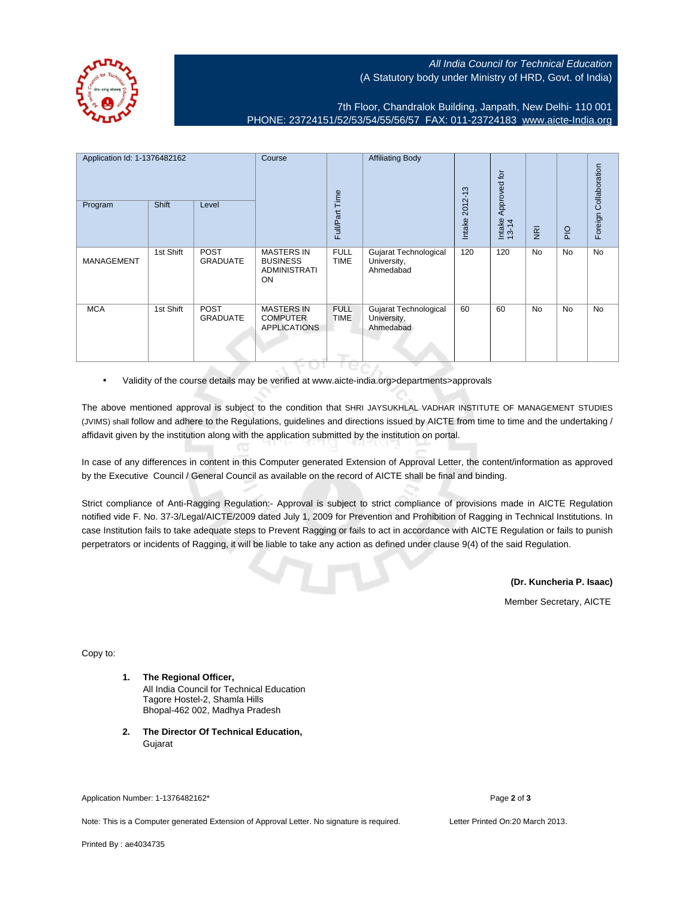All India Council for Technical Education (A Statutory body under Ministry of HRD, Govt. of India)



7th Floor, Chandralok Building, Janpath, New Delhi- 110 001 PHONE: 23724151/52/53/54/55/56/57 FAX: 011-23724183 [www.aicte-India.org](http://www.aicte-India.org)

| Application Id: 1-1376482162<br>Program | Shift     | Level                          | Course                                                            | Full/Part Time             | <b>Affiliating Body</b>                           | 2012-13<br>Intake | Approved for<br>Intake<br>13-14 | $\overline{g}$ | $rac{O}{P}$ | Foreign Collaboration |
|-----------------------------------------|-----------|--------------------------------|-------------------------------------------------------------------|----------------------------|---------------------------------------------------|-------------------|---------------------------------|----------------|-------------|-----------------------|
| <b>MANAGEMENT</b>                       | 1st Shift | <b>POST</b><br><b>GRADUATE</b> | <b>MASTERS IN</b><br><b>BUSINESS</b><br><b>ADMINISTRATI</b><br>ON | <b>FULL</b><br><b>TIME</b> | Gujarat Technological<br>University,<br>Ahmedabad | 120               | 120                             | <b>No</b>      | No          | <b>No</b>             |
| <b>MCA</b>                              | 1st Shift | <b>POST</b><br><b>GRADUATE</b> | <b>MASTERS IN</b><br><b>COMPUTER</b><br><b>APPLICATIONS</b>       | <b>FULL</b><br><b>TIME</b> | Gujarat Technological<br>University,<br>Ahmedabad | 60                | 60                              | <b>No</b>      | No          | <b>No</b>             |

• Validity of the course details may be verified at www.aicte-india.org>departments>approvals

The above mentioned approval is subject to the condition that SHRI JAYSUKHLAL VADHAR INSTITUTE OF MANAGEMENT STUDIES (JVIMS) shall follow and adhere to the Regulations, guidelines and directions issued by AICTE from time to time and the undertaking / affidavit given by the institution along with the application submitted by the institution on portal.

In case of any differences in content in this Computer generated Extension of Approval Letter, the content/information as approved by the Executive Council / General Council as available on the record of AICTE shall be final and binding.

Strict compliance of Anti-Ragging Regulation:- Approval is subject to strict compliance of provisions made in AICTE Regulation notified vide F. No. 37-3/Legal/AICTE/2009 dated July 1, 2009 for Prevention and Prohibition of Ragging in Technical Institutions. In case Institution fails to take adequate steps to Prevent Ragging or fails to act in accordance with AICTE Regulation or fails to punish perpetrators or incidents of Ragging, it will be liable to take any action as defined under clause 9(4) of the said Regulation.

**(Dr. Kuncheria P. Isaac)**

Member Secretary, AICTE

Copy to:

- **1. The Regional Officer,** All India Council for Technical Education Tagore Hostel-2, Shamla Hills Bhopal-462 002, Madhya Pradesh
- **2. The Director Of Technical Education,** Gujarat

Application Number: 1-1376482162\* Page **2** of **3**

Note: This is a Computer generated Extension of Approval Letter. No signature is required. Letter Printed On:20 March 2013.